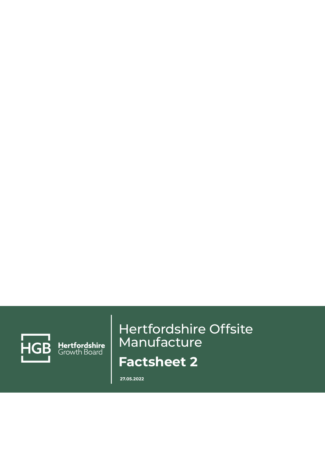

Hertfordshire<br>Growth Board

## Hertfordshire Offsite Manufacture **Factsheet 2**

**27.05.2022**